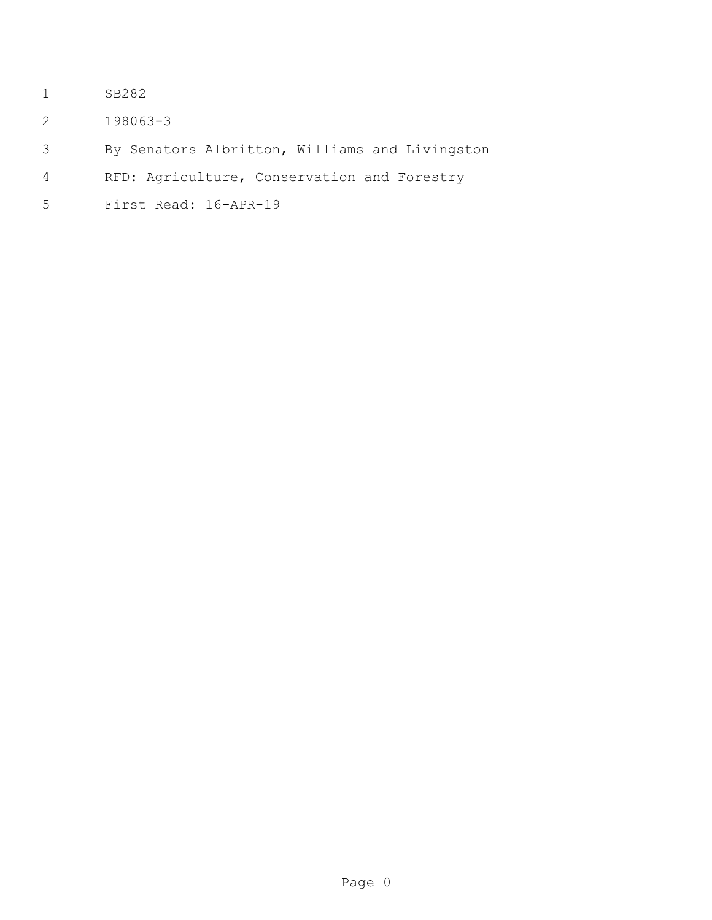- SB282
- 198063-3
- By Senators Albritton, Williams and Livingston
- RFD: Agriculture, Conservation and Forestry
- First Read: 16-APR-19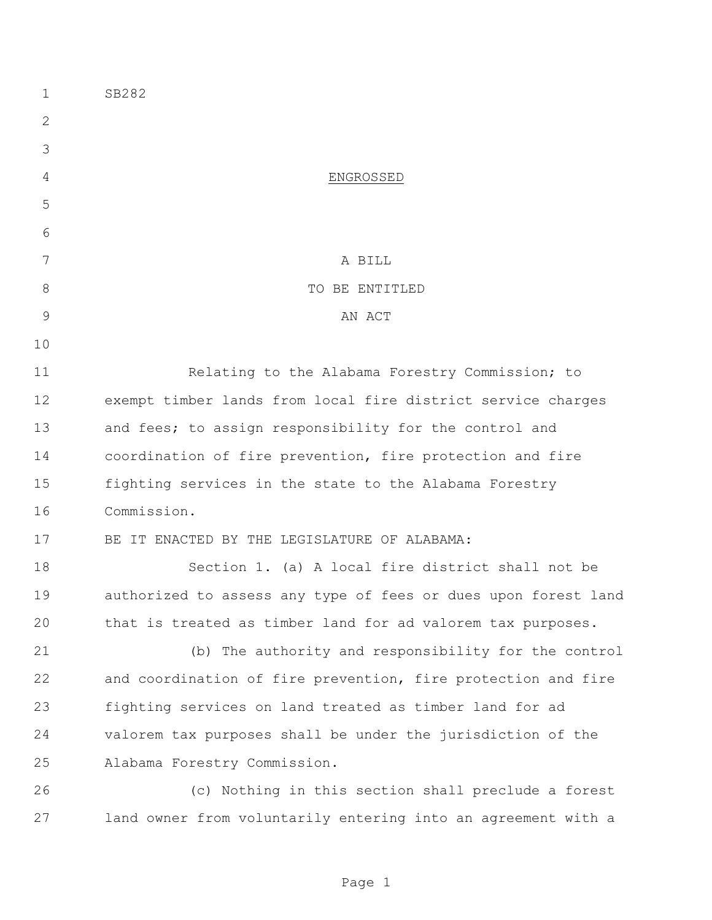| 1            | SB282                                                          |
|--------------|----------------------------------------------------------------|
| $\mathbf{2}$ |                                                                |
| 3            |                                                                |
| 4            | ENGROSSED                                                      |
| 5            |                                                                |
| 6            |                                                                |
| 7            | A BILL                                                         |
| 8            | TO BE ENTITLED                                                 |
| 9            | AN ACT                                                         |
| 10           |                                                                |
| 11           | Relating to the Alabama Forestry Commission; to                |
| 12           | exempt timber lands from local fire district service charges   |
| 13           | and fees; to assign responsibility for the control and         |
| 14           | coordination of fire prevention, fire protection and fire      |
| 15           | fighting services in the state to the Alabama Forestry         |
| 16           | Commission.                                                    |
| 17           | BE IT ENACTED BY THE LEGISLATURE OF ALABAMA:                   |
| 18           | Section 1. (a) A local fire district shall not be              |
| 19           | authorized to assess any type of fees or dues upon forest land |
| 20           | that is treated as timber land for ad valorem tax purposes.    |
| 21           | (b) The authority and responsibility for the control           |
| 22           | and coordination of fire prevention, fire protection and fire  |
| 23           | fighting services on land treated as timber land for ad        |
| 24           | valorem tax purposes shall be under the jurisdiction of the    |
| 25           | Alabama Forestry Commission.                                   |
| 26           | (c) Nothing in this section shall preclude a forest            |
| 27           | land owner from voluntarily entering into an agreement with a  |

Page 1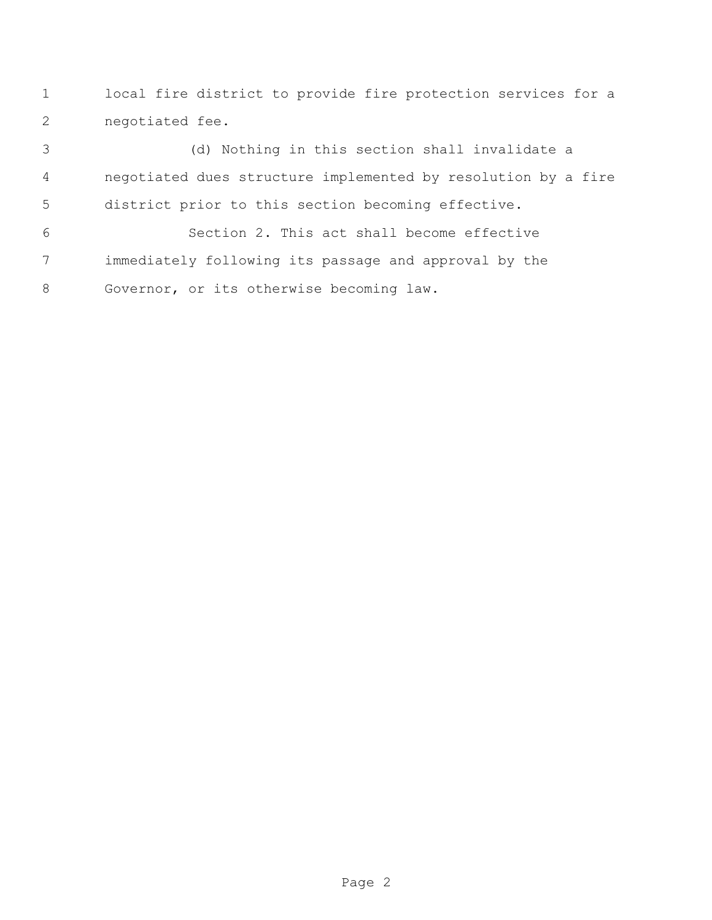local fire district to provide fire protection services for a negotiated fee.

 (d) Nothing in this section shall invalidate a negotiated dues structure implemented by resolution by a fire district prior to this section becoming effective.

 Section 2. This act shall become effective immediately following its passage and approval by the Governor, or its otherwise becoming law.